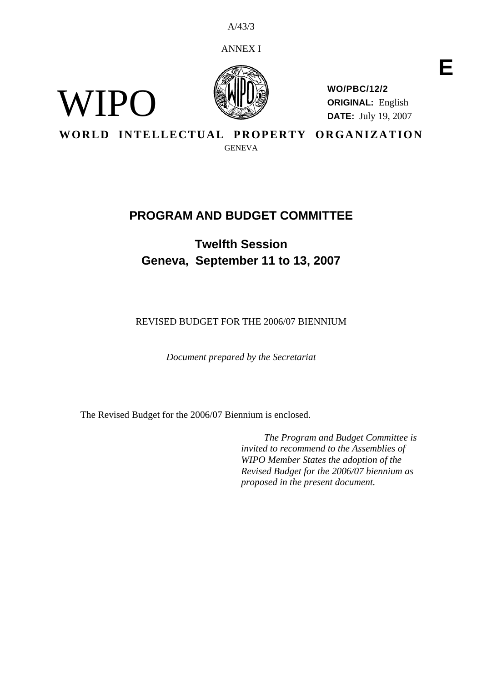A/43/3

ANNEX I



WIPO

**WO/PBC/12/2 ORIGINAL:** English **DATE:** July 19, 2007

**WORLD INTELLECTUAL PROPERTY ORGANIZATION**  GENEVA

# **PROGRAM AND BUDGET COMMITTEE**

**Twelfth Session Geneva, September 11 to 13, 2007** 

REVISED BUDGET FOR THE 2006/07 BIENNIUM

*Document prepared by the Secretariat* 

The Revised Budget for the 2006/07 Biennium is enclosed.

 *The Program and Budget Committee is invited to recommend to the Assemblies of WIPO Member States the adoption of the Revised Budget for the 2006/07 biennium as proposed in the present document.* 

**E**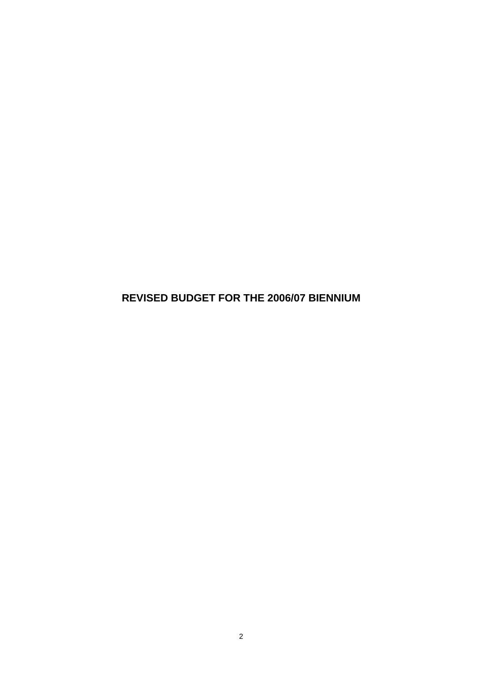**REVISED BUDGET FOR THE 2006/07 BIENNIUM**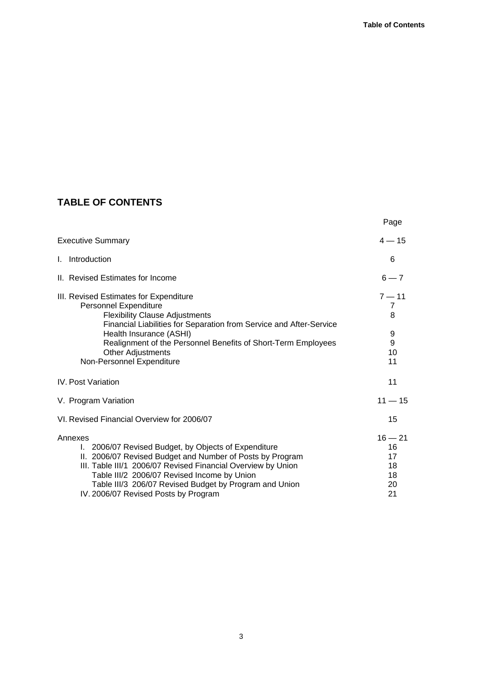# **TABLE OF CONTENTS**

|                                                                                                                                                                                                                                                                                                                                                  | Page                                          |
|--------------------------------------------------------------------------------------------------------------------------------------------------------------------------------------------------------------------------------------------------------------------------------------------------------------------------------------------------|-----------------------------------------------|
| <b>Executive Summary</b>                                                                                                                                                                                                                                                                                                                         | $4 - 15$                                      |
| I. Introduction                                                                                                                                                                                                                                                                                                                                  | 6                                             |
| II. Revised Estimates for Income                                                                                                                                                                                                                                                                                                                 | $6 - 7$                                       |
| III. Revised Estimates for Expenditure<br>Personnel Expenditure<br><b>Flexibility Clause Adjustments</b><br>Financial Liabilities for Separation from Service and After-Service<br>Health Insurance (ASHI)<br>Realignment of the Personnel Benefits of Short-Term Employees<br><b>Other Adjustments</b><br>Non-Personnel Expenditure             | $7 - 11$<br>7<br>8<br>9<br>9<br>10<br>11      |
| <b>IV.</b> Post Variation                                                                                                                                                                                                                                                                                                                        | 11                                            |
| V. Program Variation                                                                                                                                                                                                                                                                                                                             | $11 - 15$                                     |
| VI. Revised Financial Overview for 2006/07                                                                                                                                                                                                                                                                                                       | 15                                            |
| Annexes<br>2006/07 Revised Budget, by Objects of Expenditure<br>L.<br>II. 2006/07 Revised Budget and Number of Posts by Program<br>III. Table III/1 2006/07 Revised Financial Overview by Union<br>Table III/2 2006/07 Revised Income by Union<br>Table III/3 206/07 Revised Budget by Program and Union<br>IV. 2006/07 Revised Posts by Program | $16 - 21$<br>16<br>17<br>18<br>18<br>20<br>21 |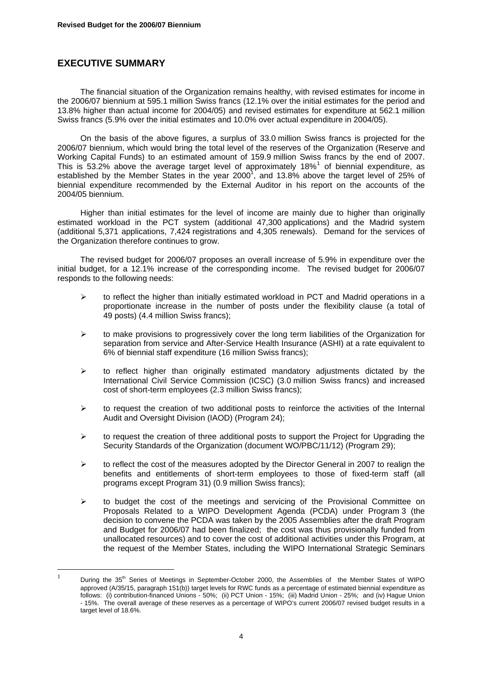# **EXECUTIVE SUMMARY**

 The financial situation of the Organization remains healthy, with revised estimates for income in the 2006/07 biennium at 595.1 million Swiss francs (12.1% over the initial estimates for the period and 13.8% higher than actual income for 2004/05) and revised estimates for expenditure at 562.1 million Swiss francs (5.9% over the initial estimates and 10.0% over actual expenditure in 2004/05).

 On the basis of the above figures, a surplus of 33.0 million Swiss francs is projected for the 2006/07 biennium, which would bring the total level of the reserves of the Organization (Reserve and Working Capital Funds) to an estimated amount of 159.9 million Swiss francs by the end of 2007. This is 53.2% above the average target level of approximately [1](#page-3-0)8%<sup>1</sup> of biennial expenditure, as established by the Member States in the year 2000<sup>1</sup>, and 13.8% above the target level of 25% of biennial expenditure recommended by the External Auditor in his report on the accounts of the 2004/05 biennium.

 Higher than initial estimates for the level of income are mainly due to higher than originally estimated workload in the PCT system (additional 47,300 applications) and the Madrid system (additional 5,371 applications, 7,424 registrations and 4,305 renewals). Demand for the services of the Organization therefore continues to grow.

 The revised budget for 2006/07 proposes an overall increase of 5.9% in expenditure over the initial budget, for a 12.1% increase of the corresponding income. The revised budget for 2006/07 responds to the following needs:

- $\triangleright$  to reflect the higher than initially estimated workload in PCT and Madrid operations in a proportionate increase in the number of posts under the flexibility clause (a total of 49 posts) (4.4 million Swiss francs);
- $\triangleright$  to make provisions to progressively cover the long term liabilities of the Organization for separation from service and After-Service Health Insurance (ASHI) at a rate equivalent to 6% of biennial staff expenditure (16 million Swiss francs);
- $\triangleright$  to reflect higher than originally estimated mandatory adjustments dictated by the International Civil Service Commission (ICSC) (3.0 million Swiss francs) and increased cost of short-term employees (2.3 million Swiss francs);
- $\triangleright$  to request the creation of two additional posts to reinforce the activities of the Internal Audit and Oversight Division (IAOD) (Program 24);
- $\triangleright$  to request the creation of three additional posts to support the Project for Upgrading the Security Standards of the Organization (document WO/PBC/11/12) (Program 29);
- ¾ to reflect the cost of the measures adopted by the Director General in 2007 to realign the benefits and entitlements of short-term employees to those of fixed-term staff (all programs except Program 31) (0.9 million Swiss francs);
- $\triangleright$  to budget the cost of the meetings and servicing of the Provisional Committee on Proposals Related to a WIPO Development Agenda (PCDA) under Program 3 (the decision to convene the PCDA was taken by the 2005 Assemblies after the draft Program and Budget for 2006/07 had been finalized; the cost was thus provisionally funded from unallocated resources) and to cover the cost of additional activities under this Program, at the request of the Member States, including the WIPO International Strategic Seminars

<span id="page-3-0"></span> $\overline{1}$ 

During the 35<sup>th</sup> Series of Meetings in September-October 2000, the Assemblies of the Member States of WIPO approved (A/35/15, paragraph 151(b)) target levels for RWC funds as a percentage of estimated biennial expenditure as follows: (i) contribution-financed Unions - 50%; (ii) PCT Union - 15%; (iii) Madrid Union - 25%; and (iv) Hague Union - 15%. The overall average of these reserves as a percentage of WIPO's current 2006/07 revised budget results in a target level of 18.6%.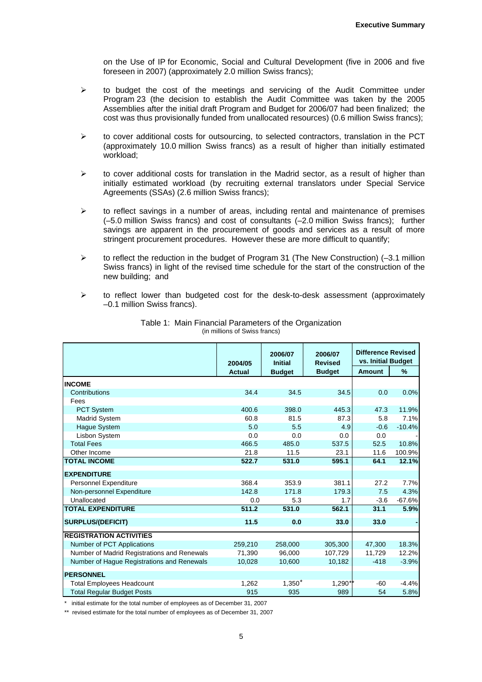on the Use of IP for Economic, Social and Cultural Development (five in 2006 and five foreseen in 2007) (approximately 2.0 million Swiss francs);

- $\triangleright$  to budget the cost of the meetings and servicing of the Audit Committee under Program 23 (the decision to establish the Audit Committee was taken by the 2005 Assemblies after the initial draft Program and Budget for 2006/07 had been finalized; the cost was thus provisionally funded from unallocated resources) (0.6 million Swiss francs);
- ¾ to cover additional costs for outsourcing, to selected contractors, translation in the PCT (approximately 10.0 million Swiss francs) as a result of higher than initially estimated workload;
- $\triangleright$  to cover additional costs for translation in the Madrid sector, as a result of higher than initially estimated workload (by recruiting external translators under Special Service Agreements (SSAs) (2.6 million Swiss francs);
- $\triangleright$  to reflect savings in a number of areas, including rental and maintenance of premises (–5.0 million Swiss francs) and cost of consultants (–2.0 million Swiss francs); further savings are apparent in the procurement of goods and services as a result of more stringent procurement procedures. However these are more difficult to quantify;
- $\triangleright$  to reflect the reduction in the budget of Program 31 (The New Construction) (-3.1 million Swiss francs) in light of the revised time schedule for the start of the construction of the new building; and
- $\triangleright$  to reflect lower than budgeted cost for the desk-to-desk assessment (approximately –0.1 million Swiss francs).

|                                             | 2004/05       | 2006/07<br><b>Initial</b> | 2006/07<br><b>Revised</b> | <b>Difference Revised</b><br>vs. Initial Budget |          |
|---------------------------------------------|---------------|---------------------------|---------------------------|-------------------------------------------------|----------|
|                                             | <b>Actual</b> | <b>Budget</b>             | <b>Budget</b>             | <b>Amount</b>                                   | %        |
| <b>INCOME</b>                               |               |                           |                           |                                                 |          |
| Contributions                               | 34.4          | 34.5                      | 34.5                      | 0.0                                             | 0.0%     |
| Fees                                        |               |                           |                           |                                                 |          |
| <b>PCT System</b>                           | 400.6         | 398.0                     | 445.3                     | 47.3                                            | 11.9%    |
| <b>Madrid System</b>                        | 60.8          | 81.5                      | 87.3                      | 5.8                                             | 7.1%     |
| Hague System                                | 5.0           | 5.5                       | 4.9                       | $-0.6$                                          | $-10.4%$ |
| Lisbon System                               | 0.0           | 0.0                       | 0.0                       | 0.0                                             |          |
| <b>Total Fees</b>                           | 466.5         | 485.0                     | 537.5                     | 52.5                                            | 10.8%    |
| Other Income                                | 21.8          | 11.5                      | 23.1                      | 11.6                                            | 100.9%   |
| <b>TOTAL INCOME</b>                         | 522.7         | 531.0                     | 595.1                     | 64.1                                            | 12.1%    |
| <b>EXPENDITURE</b>                          |               |                           |                           |                                                 |          |
| Personnel Expenditure                       | 368.4         | 353.9                     | 381.1                     | 27.2                                            | 7.7%     |
| Non-personnel Expenditure                   | 142.8         | 171.8                     | 179.3                     | 7.5                                             | 4.3%     |
| Unallocated                                 | 0.0           | 5.3                       | 1.7                       | $-3.6$                                          | $-67.6%$ |
| <b>TOTAL EXPENDITURE</b>                    | 511.2         | 531.0                     | 562.1                     | 31.1                                            | 5.9%     |
| <b>SURPLUS/(DEFICIT)</b>                    | 11.5          | 0.0                       | 33.0                      | 33.0                                            |          |
| <b>REGISTRATION ACTIVITIES</b>              |               |                           |                           |                                                 |          |
| Number of PCT Applications                  | 259.210       | 258,000                   | 305,300                   | 47,300                                          | 18.3%    |
| Number of Madrid Registrations and Renewals | 71.390        | 96.000                    | 107,729                   | 11.729                                          | 12.2%    |
| Number of Haque Registrations and Renewals  | 10,028        | 10,600                    | 10,182                    | $-418$                                          | $-3.9%$  |
| <b>PERSONNEL</b>                            |               |                           |                           |                                                 |          |
| <b>Total Employees Headcount</b>            | 1,262         | $1,350*$                  | 1,290*                    | $-60$                                           | $-4.4%$  |
| <b>Total Regular Budget Posts</b>           | 915           | 935                       | 989                       | 54                                              | 5.8%     |

#### Table 1: Main Financial Parameters of the Organization (in millions of Swiss francs)

\* initial estimate for the total number of employees as of December 31, 2007

\*\* revised estimate for the total number of employees as of December 31, 2007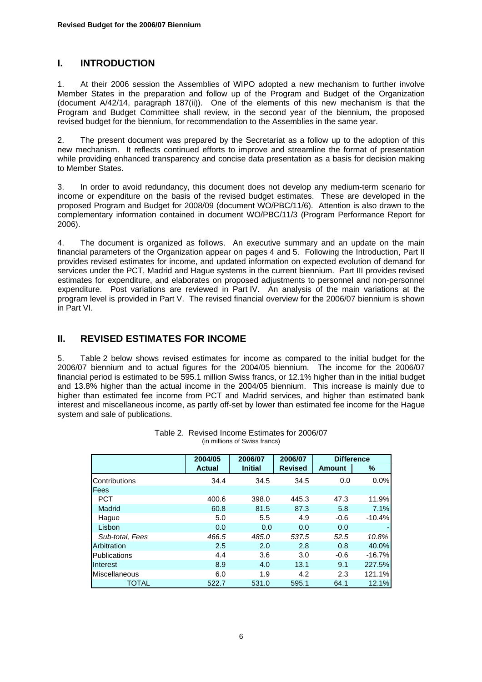# **I. INTRODUCTION**

1. At their 2006 session the Assemblies of WIPO adopted a new mechanism to further involve Member States in the preparation and follow up of the Program and Budget of the Organization (document A/42/14, paragraph 187(ii)). One of the elements of this new mechanism is that the Program and Budget Committee shall review, in the second year of the biennium, the proposed revised budget for the biennium, for recommendation to the Assemblies in the same year.

2. The present document was prepared by the Secretariat as a follow up to the adoption of this new mechanism. It reflects continued efforts to improve and streamline the format of presentation while providing enhanced transparency and concise data presentation as a basis for decision making to Member States.

3. In order to avoid redundancy, this document does not develop any medium-term scenario for income or expenditure on the basis of the revised budget estimates. These are developed in the proposed Program and Budget for 2008/09 (document WO/PBC/11/6). Attention is also drawn to the complementary information contained in document WO/PBC/11/3 (Program Performance Report for 2006).

4. The document is organized as follows. An executive summary and an update on the main financial parameters of the Organization appear on pages 4 and 5. Following the Introduction, Part II provides revised estimates for income, and updated information on expected evolution of demand for services under the PCT, Madrid and Hague systems in the current biennium. Part III provides revised estimates for expenditure, and elaborates on proposed adjustments to personnel and non-personnel expenditure. Post variations are reviewed in Part IV. An analysis of the main variations at the program level is provided in Part V. The revised financial overview for the 2006/07 biennium is shown in Part VI.

# **II. REVISED ESTIMATES FOR INCOME**

5. Table 2 below shows revised estimates for income as compared to the initial budget for the 2006/07 biennium and to actual figures for the 2004/05 biennium. The income for the 2006/07 financial period is estimated to be 595.1 million Swiss francs, or 12.1% higher than in the initial budget and 13.8% higher than the actual income in the 2004/05 biennium. This increase is mainly due to higher than estimated fee income from PCT and Madrid services, and higher than estimated bank interest and miscellaneous income, as partly off-set by lower than estimated fee income for the Hague system and sale of publications.

|                      | 2004/05       | 2006/07        | 2006/07        |        | <b>Difference</b> |
|----------------------|---------------|----------------|----------------|--------|-------------------|
|                      | <b>Actual</b> | <b>Initial</b> | <b>Revised</b> | Amount | %                 |
| Contributions        | 34.4          | 34.5           | 34.5           | 0.0    | 0.0%              |
| Fees                 |               |                |                |        |                   |
| <b>PCT</b>           | 400.6         | 398.0          | 445.3          | 47.3   | 11.9%             |
| Madrid               | 60.8          | 81.5           | 87.3           | 5.8    | 7.1%              |
| Hague                | 5.0           | 5.5            | 4.9            | $-0.6$ | $-10.4%$          |
| Lisbon               | 0.0           | 0.0            | 0.0            | 0.0    |                   |
| Sub-total, Fees      | 466.5         | 485.0          | 537.5          | 52.5   | 10.8%             |
| Arbitration          | 2.5           | 2.0            | 2.8            | 0.8    | 40.0%             |
| <b>Publications</b>  | 4.4           | 3.6            | 3.0            | $-0.6$ | $-16.7%$          |
| Interest             | 8.9           | 4.0            | 13.1           | 9.1    | 227.5%            |
| <b>Miscellaneous</b> | 6.0           | 1.9            | 4.2            | 2.3    | 121.1%            |
| TOTAL                | 522.7         | 531.0          | 595.1          | 64.1   | 12.1%             |

| Table 2. Revised Income Estimates for 2006/07 |
|-----------------------------------------------|
| (in millions of Swiss francs)                 |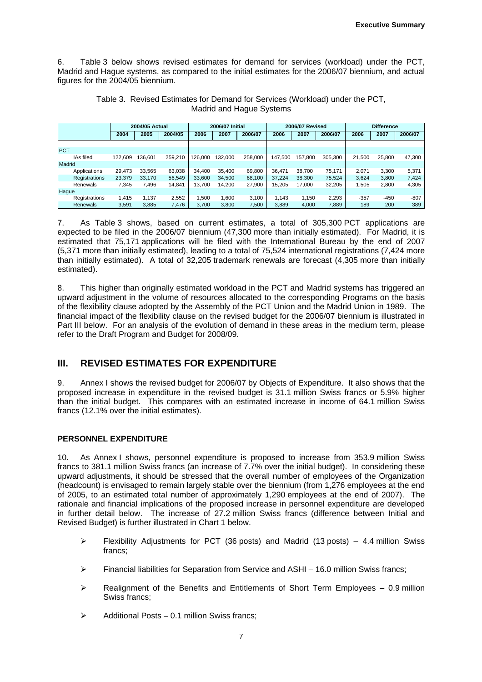6. Table 3 below shows revised estimates for demand for services (workload) under the PCT, Madrid and Hague systems, as compared to the initial estimates for the 2006/07 biennium, and actual figures for the 2004/05 biennium.

|        |               | 2004/05 Actual |        | 2006/07 Initial |         | <b>2006/07 Revised</b> |         |         | <b>Difference</b> |         |        |        |         |
|--------|---------------|----------------|--------|-----------------|---------|------------------------|---------|---------|-------------------|---------|--------|--------|---------|
|        |               | 2004           | 2005   | 2004/05         | 2006    | 2007                   | 2006/07 | 2006    | 2007              | 2006/07 | 2006   | 2007   | 2006/07 |
|        |               |                |        |                 |         |                        |         |         |                   |         |        |        |         |
| PCT    |               |                |        |                 |         |                        |         |         |                   |         |        |        |         |
|        | IAs filed     | 122.609        | 36.601 | 259.210         | 126,000 | 132.000                | 258.000 | 147.500 | 157,800           | 305.300 | 21,500 | 25.800 | 47,300  |
| Madrid |               |                |        |                 |         |                        |         |         |                   |         |        |        |         |
|        | Applications  | 29.473         | 33.565 | 63.038          | 34.400  | 35.400                 | 69.800  | 36.471  | 38.700            | 75.171  | 2.071  | 3.300  | 5,371   |
|        | Registrations | 23,379         | 33.170 | 56,549          | 33,600  | 34.500                 | 68,100  | 37.224  | 38,300            | 75,524  | 3.624  | 3,800  | 7,424   |
|        | Renewals      | 7,345          | 7.496  | 14,841          | 13,700  | 14.200                 | 27,900  | 15,205  | 17.000            | 32,205  | 1.505  | 2,800  | 4,305   |
| Haque  |               |                |        |                 |         |                        |         |         |                   |         |        |        |         |
|        | Registrations | 1.415          | 1.137  | 2,552           | .500    | 1.600                  | 3.100   | 1.143   | 1.150             | 2,293   | $-357$ | $-450$ | $-807$  |
|        | Renewals      | 3.591          | 3.885  | 7.476           | 3.700   | 3.800                  | 7.500   | 3.889   | 4.000             | 7.889   | 189    | 200    | 389     |

## Table 3. Revised Estimates for Demand for Services (Workload) under the PCT, Madrid and Hague Systems

7. As Table 3 shows, based on current estimates, a total of 305,300 PCT applications are expected to be filed in the 2006/07 biennium (47,300 more than initially estimated). For Madrid, it is estimated that 75,171 applications will be filed with the International Bureau by the end of 2007 (5,371 more than initially estimated), leading to a total of 75,524 international registrations (7,424 more than initially estimated). A total of 32,205 trademark renewals are forecast (4,305 more than initially estimated).

8. This higher than originally estimated workload in the PCT and Madrid systems has triggered an upward adjustment in the volume of resources allocated to the corresponding Programs on the basis of the flexibility clause adopted by the Assembly of the PCT Union and the Madrid Union in 1989. The financial impact of the flexibility clause on the revised budget for the 2006/07 biennium is illustrated in Part III below. For an analysis of the evolution of demand in these areas in the medium term, please refer to the Draft Program and Budget for 2008/09.

# **III. REVISED ESTIMATES FOR EXPENDITURE**

9. Annex I shows the revised budget for 2006/07 by Objects of Expenditure. It also shows that the proposed increase in expenditure in the revised budget is 31.1 million Swiss francs or 5.9% higher than the initial budget. This compares with an estimated increase in income of 64.1 million Swiss francs (12.1% over the initial estimates).

# **PERSONNEL EXPENDITURE**

10. As Annex I shows, personnel expenditure is proposed to increase from 353.9 million Swiss francs to 381.1 million Swiss francs (an increase of 7.7% over the initial budget). In considering these upward adjustments, it should be stressed that the overall number of employees of the Organization (headcount) is envisaged to remain largely stable over the biennium (from 1,276 employees at the end of 2005, to an estimated total number of approximately 1,290 employees at the end of 2007). The rationale and financial implications of the proposed increase in personnel expenditure are developed in further detail below. The increase of 27.2 million Swiss francs (difference between Initial and Revised Budget) is further illustrated in Chart 1 below.

- $\triangleright$  Flexibility Adjustments for PCT (36 posts) and Madrid (13 posts) 4.4 million Swiss francs;
- $\triangleright$  Financial liabilities for Separation from Service and ASHI 16.0 million Swiss francs;
- $\triangleright$  Realignment of the Benefits and Entitlements of Short Term Employees 0.9 million Swiss francs;
- $\triangleright$  Additional Posts 0.1 million Swiss francs;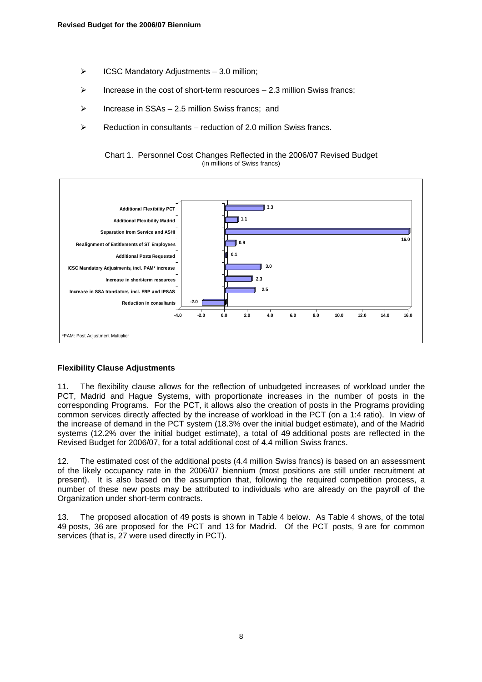- $\triangleright$  ICSC Mandatory Adjustments 3.0 million;
- $\triangleright$  Increase in the cost of short-term resources 2.3 million Swiss francs;
- $\triangleright$  Increase in SSAs 2.5 million Swiss francs; and
- $\triangleright$  Reduction in consultants reduction of 2.0 million Swiss francs.





#### **Flexibility Clause Adjustments**

11. The flexibility clause allows for the reflection of unbudgeted increases of workload under the PCT, Madrid and Hague Systems, with proportionate increases in the number of posts in the corresponding Programs. For the PCT, it allows also the creation of posts in the Programs providing common services directly affected by the increase of workload in the PCT (on a 1:4 ratio). In view of the increase of demand in the PCT system (18.3% over the initial budget estimate), and of the Madrid systems (12.2% over the initial budget estimate), a total of 49 additional posts are reflected in the Revised Budget for 2006/07, for a total additional cost of 4.4 million Swiss francs.

12. The estimated cost of the additional posts (4.4 million Swiss francs) is based on an assessment of the likely occupancy rate in the 2006/07 biennium (most positions are still under recruitment at present). It is also based on the assumption that, following the required competition process, a number of these new posts may be attributed to individuals who are already on the payroll of the Organization under short-term contracts.

13. The proposed allocation of 49 posts is shown in Table 4 below. As Table 4 shows, of the total 49 posts, 36 are proposed for the PCT and 13 for Madrid. Of the PCT posts, 9 are for common services (that is, 27 were used directly in PCT).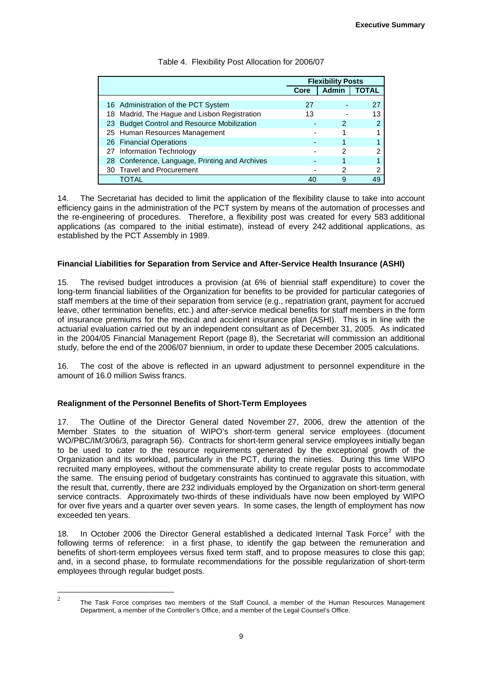<span id="page-8-0"></span>

|                                                |      | <b>Flexibility Posts</b> |              |  |  |
|------------------------------------------------|------|--------------------------|--------------|--|--|
|                                                | Core | Admin                    | <b>TOTAL</b> |  |  |
|                                                |      |                          |              |  |  |
| 16 Administration of the PCT System            | 27   |                          | 27           |  |  |
| 18 Madrid, The Hague and Lisbon Registration   | 13   |                          | 13           |  |  |
| 23 Budget Control and Resource Mobilization    |      | 2                        | 2            |  |  |
| 25 Human Resources Management                  |      |                          |              |  |  |
| 26 Financial Operations                        |      |                          |              |  |  |
| 27 Information Technology                      |      | 2                        | っ            |  |  |
| 28 Conference, Language, Printing and Archives |      |                          |              |  |  |
| 30 Travel and Procurement                      |      | 2                        | າ            |  |  |
| TOTAL                                          |      | 9                        | 49           |  |  |

Table 4. Flexibility Post Allocation for 2006/07

14. The Secretariat has decided to limit the application of the flexibility clause to take into account efficiency gains in the administration of the PCT system by means of the automation of processes and the re-engineering of procedures. Therefore, a flexibility post was created for every 583 additional applications (as compared to the initial estimate), instead of every 242 additional applications, as established by the PCT Assembly in 1989.

### **Financial Liabilities for Separation from Service and After-Service Health Insurance (ASHI)**

15. The revised budget introduces a provision (at 6% of biennial staff expenditure) to cover the long-term financial liabilities of the Organization for benefits to be provided for particular categories of staff members at the time of their separation from service (e.g., repatriation grant, payment for accrued leave, other termination benefits, etc.) and after-service medical benefits for staff members in the form of insurance premiums for the medical and accident insurance plan (ASHI). This is in line with the actuarial evaluation carried out by an independent consultant as of December 31, 2005. As indicated in the 2004/05 Financial Management Report (page 8), the Secretariat will commission an additional study, before the end of the 2006/07 biennium, in order to update these December 2005 calculations.

16. The cost of the above is reflected in an upward adjustment to personnel expenditure in the amount of 16.0 million Swiss francs.

## **Realignment of the Personnel Benefits of Short-Term Employees**

17. The Outline of the Director General dated November 27, 2006, drew the attention of the Member States to the situation of WIPO's short-term general service employees (document WO/PBC/IM/3/06/3, paragraph 56). Contracts for short-term general service employees initially began to be used to cater to the resource requirements generated by the exceptional growth of the Organization and its workload, particularly in the PCT, during the nineties. During this time WIPO recruited many employees, without the commensurate ability to create regular posts to accommodate the same. The ensuing period of budgetary constraints has continued to aggravate this situation, with the result that, currently, there are 232 individuals employed by the Organization on short-term general service contracts. Approximately two-thirds of these individuals have now been employed by WIPO for over five years and a quarter over seven years. In some cases, the length of employment has now exceeded ten years.

18. In October [2](#page-8-0)006 the Director General established a dedicated Internal Task Force<sup>2</sup> with the following terms of reference: in a first phase, to identify the gap between the remuneration and benefits of short-term employees versus fixed term staff, and to propose measures to close this gap; and, in a second phase, to formulate recommendations for the possible regularization of short-term employees through regular budget posts.

 $\overline{\phantom{a}}$ 

The Task Force comprises two members of the Staff Council, a member of the Human Resources Management Department, a member of the Controller's Office, and a member of the Legal Counsel's Office.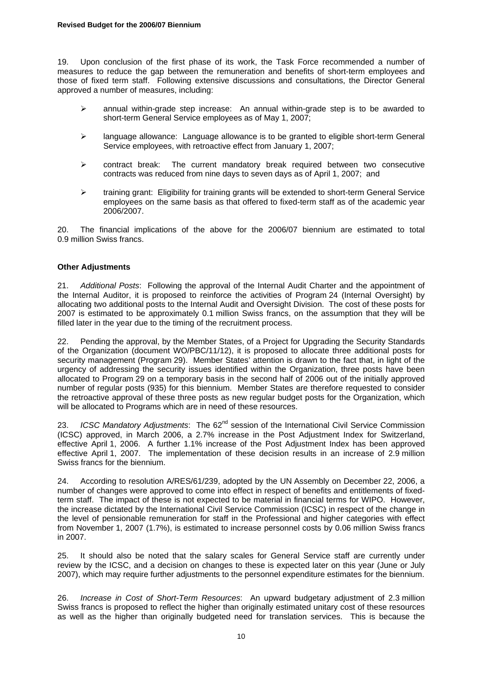19. Upon conclusion of the first phase of its work, the Task Force recommended a number of measures to reduce the gap between the remuneration and benefits of short-term employees and those of fixed term staff. Following extensive discussions and consultations, the Director General approved a number of measures, including:

- $\triangleright$  annual within-grade step increase: An annual within-grade step is to be awarded to short-term General Service employees as of May 1, 2007;
- $\triangleright$  language allowance: Language allowance is to be granted to eligible short-term General Service employees, with retroactive effect from January 1, 2007;
- $\triangleright$  contract break: The current mandatory break required between two consecutive contracts was reduced from nine days to seven days as of April 1, 2007; and
- $\triangleright$  training grant: Eligibility for training grants will be extended to short-term General Service employees on the same basis as that offered to fixed-term staff as of the academic year 2006/2007.

20. The financial implications of the above for the 2006/07 biennium are estimated to total 0.9 million Swiss francs.

### **Other Adjustments**

21. *Additional Posts*: Following the approval of the Internal Audit Charter and the appointment of the Internal Auditor, it is proposed to reinforce the activities of Program 24 (Internal Oversight) by allocating two additional posts to the Internal Audit and Oversight Division. The cost of these posts for 2007 is estimated to be approximately 0.1 million Swiss francs, on the assumption that they will be filled later in the year due to the timing of the recruitment process.

22. Pending the approval, by the Member States, of a Project for Upgrading the Security Standards of the Organization (document WO/PBC/11/12), it is proposed to allocate three additional posts for security management (Program 29). Member States' attention is drawn to the fact that, in light of the urgency of addressing the security issues identified within the Organization, three posts have been allocated to Program 29 on a temporary basis in the second half of 2006 out of the initially approved number of regular posts (935) for this biennium. Member States are therefore requested to consider the retroactive approval of these three posts as new regular budget posts for the Organization, which will be allocated to Programs which are in need of these resources.

23. *ICSC Mandatory Adjustments*: The 62<sup>nd</sup> session of the International Civil Service Commission (ICSC) approved, in March 2006, a 2.7% increase in the Post Adjustment Index for Switzerland, effective April 1, 2006. A further 1.1% increase of the Post Adjustment Index has been approved effective April 1, 2007. The implementation of these decision results in an increase of 2.9 million Swiss francs for the biennium.

24. According to resolution A/RES/61/239, adopted by the UN Assembly on December 22, 2006, a number of changes were approved to come into effect in respect of benefits and entitlements of fixedterm staff. The impact of these is not expected to be material in financial terms for WIPO. However, the increase dictated by the International Civil Service Commission (ICSC) in respect of the change in the level of pensionable remuneration for staff in the Professional and higher categories with effect from November 1, 2007 (1.7%), is estimated to increase personnel costs by 0.06 million Swiss francs in 2007.

25. It should also be noted that the salary scales for General Service staff are currently under review by the ICSC, and a decision on changes to these is expected later on this year (June or July 2007), which may require further adjustments to the personnel expenditure estimates for the biennium.

26. *Increase in Cost of Short-Term Resources*: An upward budgetary adjustment of 2.3 million Swiss francs is proposed to reflect the higher than originally estimated unitary cost of these resources as well as the higher than originally budgeted need for translation services. This is because the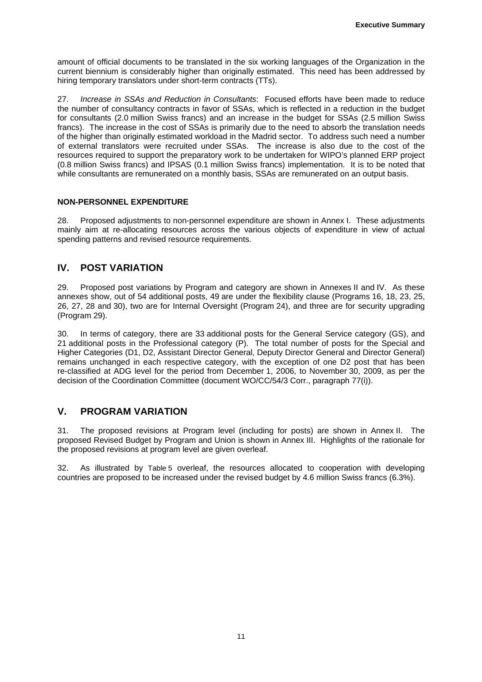amount of official documents to be translated in the six working languages of the Organization in the current biennium is considerably higher than originally estimated. This need has been addressed by hiring temporary translators under short-term contracts (TTs).

27. *Increase in SSAs and Reduction in Consultants*: Focused efforts have been made to reduce the number of consultancy contracts in favor of SSAs, which is reflected in a reduction in the budget for consultants (2.0 million Swiss francs) and an increase in the budget for SSAs (2.5 million Swiss francs). The increase in the cost of SSAs is primarily due to the need to absorb the translation needs of the higher than originally estimated workload in the Madrid sector. To address such need a number of external translators were recruited under SSAs. The increase is also due to the cost of the resources required to support the preparatory work to be undertaken for WIPO's planned ERP project (0.8 million Swiss francs) and IPSAS (0.1 million Swiss francs) implementation. It is to be noted that while consultants are remunerated on a monthly basis, SSAs are remunerated on an output basis.

## **NON-PERSONNEL EXPENDITURE**

28. Proposed adjustments to non-personnel expenditure are shown in Annex I. These adjustments mainly aim at re-allocating resources across the various objects of expenditure in view of actual spending patterns and revised resource requirements.

# **IV. POST VARIATION**

29. Proposed post variations by Program and category are shown in Annexes II and IV. As these annexes show, out of 54 additional posts, 49 are under the flexibility clause (Programs 16, 18, 23, 25, 26, 27, 28 and 30), two are for Internal Oversight (Program 24), and three are for security upgrading (Program 29).

30. In terms of category, there are 33 additional posts for the General Service category (GS), and 21 additional posts in the Professional category (P). The total number of posts for the Special and Higher Categories (D1, D2, Assistant Director General, Deputy Director General and Director General) remains unchanged in each respective category, with the exception of one D2 post that has been re-classified at ADG level for the period from December 1, 2006, to November 30, 2009, as per the decision of the Coordination Committee (document WO/CC/54/3 Corr., paragraph 77(i)).

# **V. PROGRAM VARIATION**

31. The proposed revisions at Program level (including for posts) are shown in Annex II. The proposed Revised Budget by Program and Union is shown in Annex III. Highlights of the rationale for the proposed revisions at program level are given overleaf.

32. As illustrated by Table 5 overleaf, the resources allocated to cooperation with developing countries are proposed to be increased under the revised budget by 4.6 million Swiss francs (6.3%).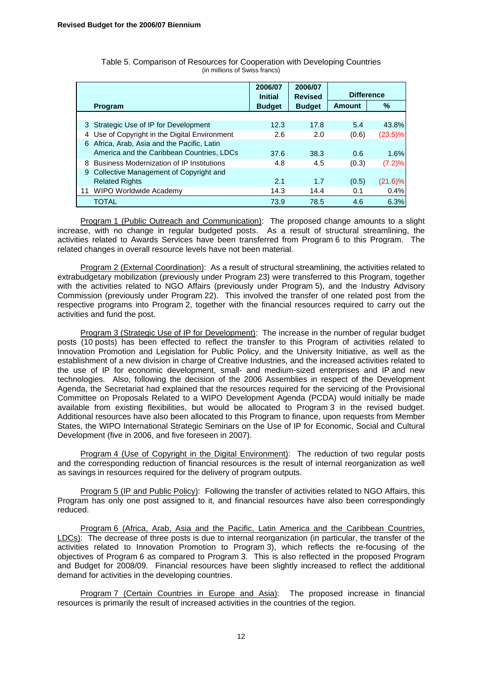|    |                                             | 2006/07<br><b>Initial</b> | 2006/07<br><b>Revised</b> | <b>Difference</b> |            |
|----|---------------------------------------------|---------------------------|---------------------------|-------------------|------------|
|    | Program                                     | <b>Budget</b>             | <b>Budget</b>             | Amount            | %          |
|    |                                             |                           |                           |                   |            |
|    | 3 Strategic Use of IP for Development       | 12.3                      | 17.8                      | 5.4               | 43.8%      |
| 4  | Use of Copyright in the Digital Environment | 2.6                       | 2.0                       | (0.6)             | $(23.5)\%$ |
| 6  | Africa, Arab, Asia and the Pacific, Latin   |                           |                           |                   |            |
|    | America and the Caribbean Countries, LDCs   | 37.6                      | 38.3                      | 0.6               | 1.6%       |
| 8  | Business Modernization of IP Institutions   | 4.8                       | 4.5                       | (0.3)             | (7.2)%     |
| 9  | Collective Management of Copyright and      |                           |                           |                   |            |
|    | <b>Related Rights</b>                       | 2.1                       | 1.7                       | (0.5)             | $(21.6)\%$ |
| 11 | WIPO Worldwide Academy                      | 14.3                      | 14.4                      | 0.1               | 0.4%       |
|    | TOTAL                                       | 73.9                      | 78.5                      | 4.6               | 6.3%       |

Table 5. Comparison of Resources for Cooperation with Developing Countries (in millions of Swiss francs)

Program 1 (Public Outreach and Communication): The proposed change amounts to a slight increase, with no change in regular budgeted posts. As a result of structural streamlining, the activities related to Awards Services have been transferred from Program 6 to this Program. The related changes in overall resource levels have not been material.

Program 2 (External Coordination): As a result of structural streamlining, the activities related to extrabudgetary mobilization (previously under Program 23) were transferred to this Program, together with the activities related to NGO Affairs (previously under Program 5), and the Industry Advisory Commission (previously under Program 22). This involved the transfer of one related post from the respective programs into Program 2, together with the financial resources required to carry out the activities and fund the post.

Program 3 (Strategic Use of IP for Development): The increase in the number of regular budget posts (10 posts) has been effected to reflect the transfer to this Program of activities related to Innovation Promotion and Legislation for Public Policy, and the University Initiative, as well as the establishment of a new division in charge of Creative Industries, and the increased activities related to the use of IP for economic development, small- and medium-sized enterprises and IP and new technologies. Also, following the decision of the 2006 Assemblies in respect of the Development Agenda, the Secretariat had explained that the resources required for the servicing of the Provisional Committee on Proposals Related to a WIPO Development Agenda (PCDA) would initially be made available from existing flexibilities, but would be allocated to Program 3 in the revised budget. Additional resources have also been allocated to this Program to finance, upon requests from Member States, the WIPO International Strategic Seminars on the Use of IP for Economic, Social and Cultural Development (five in 2006, and five foreseen in 2007).

Program 4 (Use of Copyright in the Digital Environment): The reduction of two regular posts and the corresponding reduction of financial resources is the result of internal reorganization as well as savings in resources required for the delivery of program outputs.

Program 5 (IP and Public Policy): Following the transfer of activities related to NGO Affairs, this Program has only one post assigned to it, and financial resources have also been correspondingly reduced.

Program 6 (Africa, Arab, Asia and the Pacific, Latin America and the Caribbean Countries, LDCs): The decrease of three posts is due to internal reorganization (in particular, the transfer of the activities related to Innovation Promotion to Program 3), which reflects the re-focusing of the objectives of Program 6 as compared to Program 3. This is also reflected in the proposed Program and Budget for 2008/09. Financial resources have been slightly increased to reflect the additional demand for activities in the developing countries.

Program 7 (Certain Countries in Europe and Asia): The proposed increase in financial resources is primarily the result of increased activities in the countries of the region.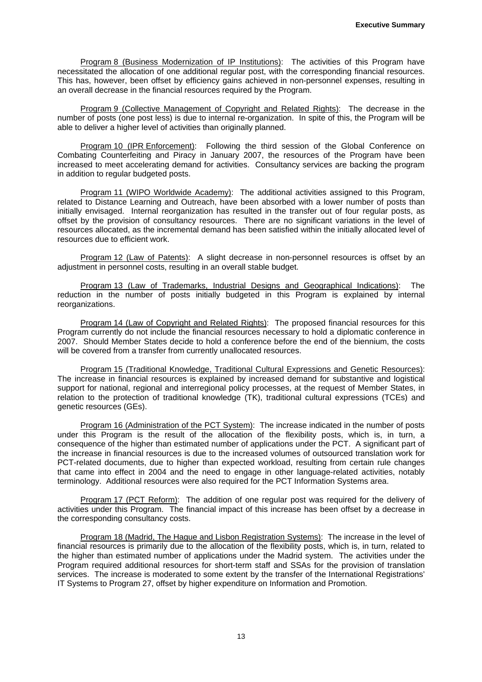Program 8 (Business Modernization of IP Institutions): The activities of this Program have necessitated the allocation of one additional regular post, with the corresponding financial resources. This has, however, been offset by efficiency gains achieved in non-personnel expenses, resulting in an overall decrease in the financial resources required by the Program.

Program 9 (Collective Management of Copyright and Related Rights): The decrease in the number of posts (one post less) is due to internal re-organization. In spite of this, the Program will be able to deliver a higher level of activities than originally planned.

Program 10 (IPR Enforcement): Following the third session of the Global Conference on Combating Counterfeiting and Piracy in January 2007, the resources of the Program have been increased to meet accelerating demand for activities. Consultancy services are backing the program in addition to regular budgeted posts.

Program 11 (WIPO Worldwide Academy): The additional activities assigned to this Program, related to Distance Learning and Outreach, have been absorbed with a lower number of posts than initially envisaged. Internal reorganization has resulted in the transfer out of four regular posts, as offset by the provision of consultancy resources. There are no significant variations in the level of resources allocated, as the incremental demand has been satisfied within the initially allocated level of resources due to efficient work.

Program 12 (Law of Patents): A slight decrease in non-personnel resources is offset by an adjustment in personnel costs, resulting in an overall stable budget.

Program 13 (Law of Trademarks, Industrial Designs and Geographical Indications): The reduction in the number of posts initially budgeted in this Program is explained by internal reorganizations.

Program 14 (Law of Copyright and Related Rights): The proposed financial resources for this Program currently do not include the financial resources necessary to hold a diplomatic conference in 2007. Should Member States decide to hold a conference before the end of the biennium, the costs will be covered from a transfer from currently unallocated resources.

Program 15 (Traditional Knowledge, Traditional Cultural Expressions and Genetic Resources): The increase in financial resources is explained by increased demand for substantive and logistical support for national, regional and interregional policy processes, at the request of Member States, in relation to the protection of traditional knowledge (TK), traditional cultural expressions (TCEs) and genetic resources (GEs).

Program 16 (Administration of the PCT System): The increase indicated in the number of posts under this Program is the result of the allocation of the flexibility posts, which is, in turn, a consequence of the higher than estimated number of applications under the PCT. A significant part of the increase in financial resources is due to the increased volumes of outsourced translation work for PCT-related documents, due to higher than expected workload, resulting from certain rule changes that came into effect in 2004 and the need to engage in other language-related activities, notably terminology. Additional resources were also required for the PCT Information Systems area.

Program 17 (PCT Reform): The addition of one regular post was required for the delivery of activities under this Program. The financial impact of this increase has been offset by a decrease in the corresponding consultancy costs.

Program 18 (Madrid, The Hague and Lisbon Registration Systems): The increase in the level of financial resources is primarily due to the allocation of the flexibility posts, which is, in turn, related to the higher than estimated number of applications under the Madrid system. The activities under the Program required additional resources for short-term staff and SSAs for the provision of translation services. The increase is moderated to some extent by the transfer of the International Registrations' IT Systems to Program 27, offset by higher expenditure on Information and Promotion.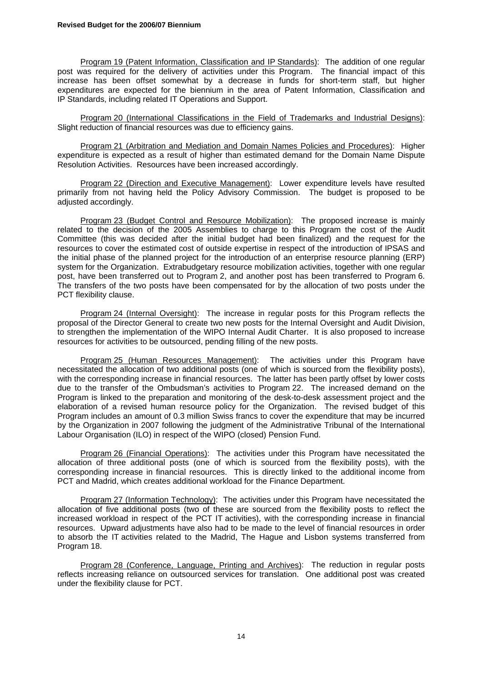Program 19 (Patent Information, Classification and IP Standards): The addition of one regular post was required for the delivery of activities under this Program. The financial impact of this increase has been offset somewhat by a decrease in funds for short-term staff, but higher expenditures are expected for the biennium in the area of Patent Information, Classification and IP Standards, including related IT Operations and Support.

Program 20 (International Classifications in the Field of Trademarks and Industrial Designs): Slight reduction of financial resources was due to efficiency gains.

Program 21 (Arbitration and Mediation and Domain Names Policies and Procedures): Higher expenditure is expected as a result of higher than estimated demand for the Domain Name Dispute Resolution Activities. Resources have been increased accordingly.

Program 22 (Direction and Executive Management): Lower expenditure levels have resulted primarily from not having held the Policy Advisory Commission. The budget is proposed to be adjusted accordingly.

Program 23 (Budget Control and Resource Mobilization): The proposed increase is mainly related to the decision of the 2005 Assemblies to charge to this Program the cost of the Audit Committee (this was decided after the initial budget had been finalized) and the request for the resources to cover the estimated cost of outside expertise in respect of the introduction of IPSAS and the initial phase of the planned project for the introduction of an enterprise resource planning (ERP) system for the Organization. Extrabudgetary resource mobilization activities, together with one regular post, have been transferred out to Program 2, and another post has been transferred to Program 6. The transfers of the two posts have been compensated for by the allocation of two posts under the PCT flexibility clause.

Program 24 (Internal Oversight): The increase in regular posts for this Program reflects the proposal of the Director General to create two new posts for the Internal Oversight and Audit Division, to strengthen the implementation of the WIPO Internal Audit Charter. It is also proposed to increase resources for activities to be outsourced, pending filling of the new posts.

Program 25 (Human Resources Management): The activities under this Program have necessitated the allocation of two additional posts (one of which is sourced from the flexibility posts), with the corresponding increase in financial resources. The latter has been partly offset by lower costs due to the transfer of the Ombudsman's activities to Program 22. The increased demand on the Program is linked to the preparation and monitoring of the desk-to-desk assessment project and the elaboration of a revised human resource policy for the Organization. The revised budget of this Program includes an amount of 0.3 million Swiss francs to cover the expenditure that may be incurred by the Organization in 2007 following the judgment of the Administrative Tribunal of the International Labour Organisation (ILO) in respect of the WIPO (closed) Pension Fund.

Program 26 (Financial Operations): The activities under this Program have necessitated the allocation of three additional posts (one of which is sourced from the flexibility posts), with the corresponding increase in financial resources. This is directly linked to the additional income from PCT and Madrid, which creates additional workload for the Finance Department.

Program 27 (Information Technology): The activities under this Program have necessitated the allocation of five additional posts (two of these are sourced from the flexibility posts to reflect the increased workload in respect of the PCT IT activities), with the corresponding increase in financial resources. Upward adjustments have also had to be made to the level of financial resources in order to absorb the IT activities related to the Madrid, The Hague and Lisbon systems transferred from Program 18.

Program 28 (Conference, Language, Printing and Archives): The reduction in regular posts reflects increasing reliance on outsourced services for translation. One additional post was created under the flexibility clause for PCT.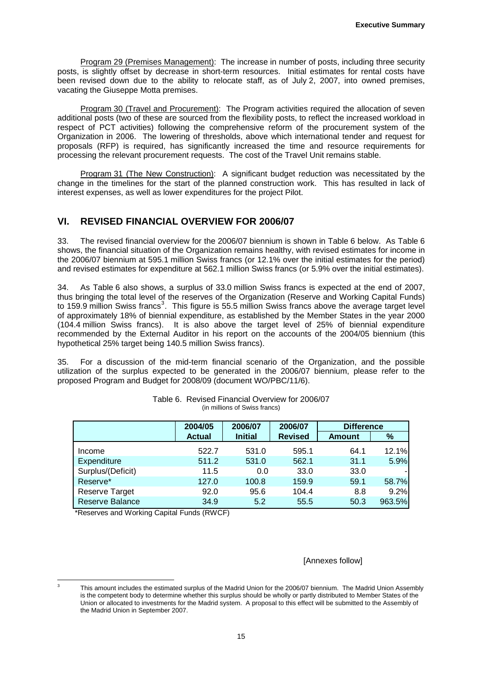<span id="page-14-0"></span>Program 29 (Premises Management): The increase in number of posts, including three security posts, is slightly offset by decrease in short-term resources. Initial estimates for rental costs have been revised down due to the ability to relocate staff, as of July 2, 2007, into owned premises, vacating the Giuseppe Motta premises.

Program 30 (Travel and Procurement): The Program activities required the allocation of seven additional posts (two of these are sourced from the flexibility posts, to reflect the increased workload in respect of PCT activities) following the comprehensive reform of the procurement system of the Organization in 2006. The lowering of thresholds, above which international tender and request for proposals (RFP) is required, has significantly increased the time and resource requirements for processing the relevant procurement requests. The cost of the Travel Unit remains stable.

Program 31 (The New Construction): A significant budget reduction was necessitated by the change in the timelines for the start of the planned construction work. This has resulted in lack of interest expenses, as well as lower expenditures for the project Pilot.

# **VI. REVISED FINANCIAL OVERVIEW FOR 2006/07**

33. The revised financial overview for the 2006/07 biennium is shown in Table 6 below. As Table 6 shows, the financial situation of the Organization remains healthy, with revised estimates for income in the 2006/07 biennium at 595.1 million Swiss francs (or 12.1% over the initial estimates for the period) and revised estimates for expenditure at 562.1 million Swiss francs (or 5.9% over the initial estimates).

34. As Table 6 also shows, a surplus of 33.0 million Swiss francs is expected at the end of 2007, thus bringing the total level of the reserves of the Organization (Reserve and Working Capital Funds) to 159.9 million Swiss francs<sup>[3](#page-14-0)</sup>. This figure is 55.5 million Swiss francs above the average target level of approximately 18% of biennial expenditure, as established by the Member States in the year 2000 (104.4 million Swiss francs). It is also above the target level of 25% of biennial expenditure recommended by the External Auditor in his report on the accounts of the 2004/05 biennium (this hypothetical 25% target being 140.5 million Swiss francs).

35. For a discussion of the mid-term financial scenario of the Organization, and the possible utilization of the surplus expected to be generated in the 2006/07 biennium, please refer to the proposed Program and Budget for 2008/09 (document WO/PBC/11/6).

|                        | 2004/05       | 2006/07        | 2006/07        | <b>Difference</b> |        |
|------------------------|---------------|----------------|----------------|-------------------|--------|
|                        | <b>Actual</b> | <b>Initial</b> | <b>Revised</b> | <b>Amount</b>     | %      |
| Income                 | 522.7         | 531.0          | 595.1          | 64.1              | 12.1%  |
| <b>Expenditure</b>     | 511.2         | 531.0          | 562.1          | 31.1              | 5.9%   |
| Surplus/(Deficit)      | 11.5          | 0.0            | 33.0           | 33.0              |        |
| Reserve*               | 127.0         | 100.8          | 159.9          | 59.1              | 58.7%  |
| Reserve Target         | 92.0          | 95.6           | 104.4          | 8.8               | 9.2%   |
| <b>Reserve Balance</b> | 34.9          | 5.2            | 55.5           | 50.3              | 963.5% |

| Table 6. Revised Financial Overview for 2006/07 |
|-------------------------------------------------|
| (in millions of Swiss francs)                   |

\*Reserves and Working Capital Funds (RWCF)

#### [Annexes follow]

 $\overline{a}$ 3 This amount includes the estimated surplus of the Madrid Union for the 2006/07 biennium. The Madrid Union Assembly is the competent body to determine whether this surplus should be wholly or partly distributed to Member States of the Union or allocated to investments for the Madrid system. A proposal to this effect will be submitted to the Assembly of the Madrid Union in September 2007.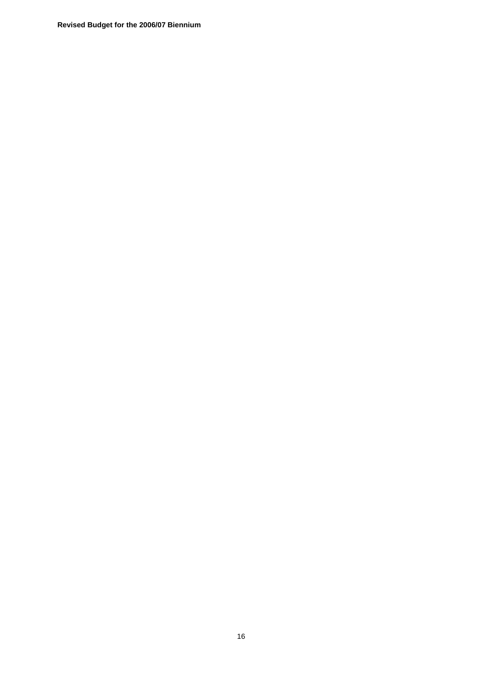**Revised Budget for the 2006/07 Biennium**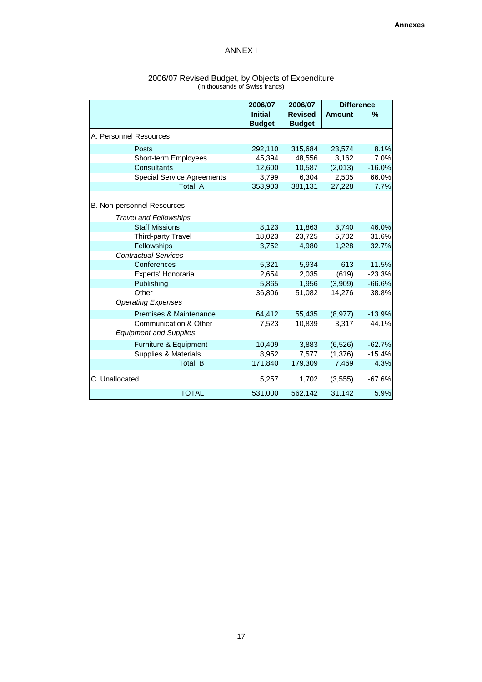# ANNEX I

| 2006/07 Revised Budget, by Objects of Expenditure |
|---------------------------------------------------|
| (in thousands of Swiss francs)                    |

|                                                                    | 2006/07        | 2006/07        | <b>Difference</b> |          |
|--------------------------------------------------------------------|----------------|----------------|-------------------|----------|
|                                                                    | <b>Initial</b> | <b>Revised</b> | <b>Amount</b>     | %        |
|                                                                    | <b>Budget</b>  | <b>Budget</b>  |                   |          |
| A. Personnel Resources                                             |                |                |                   |          |
| Posts                                                              | 292,110        | 315,684        | 23,574            | 8.1%     |
| Short-term Employees                                               | 45,394         | 48,556         | 3,162             | 7.0%     |
| Consultants                                                        | 12,600         | 10,587         | (2,013)           | $-16.0%$ |
| <b>Special Service Agreements</b>                                  | 3,799          | 6,304          | 2,505             | 66.0%    |
| Total, A                                                           | 353,903        | 381,131        | 27,228            | 7.7%     |
| <b>B. Non-personnel Resources</b><br><b>Travel and Fellowships</b> |                |                |                   |          |
| <b>Staff Missions</b>                                              | 8,123          | 11,863         | 3,740             | 46.0%    |
| <b>Third-party Travel</b>                                          | 18,023         | 23,725         | 5,702             | 31.6%    |
| Fellowships                                                        | 3,752          | 4,980          | 1,228             | 32.7%    |
| <b>Contractual Services</b>                                        |                |                |                   |          |
| Conferences                                                        | 5,321          | 5,934          | 613               | 11.5%    |
| Experts' Honoraria                                                 | 2,654          | 2,035          | (619)             | $-23.3%$ |
| Publishing                                                         | 5,865          | 1,956          | (3,909)           | $-66.6%$ |
| Other<br><b>Operating Expenses</b>                                 | 36,806         | 51,082         | 14,276            | 38.8%    |
| Premises & Maintenance                                             | 64,412         | 55,435         | (8,977)           | $-13.9%$ |
| Communication & Other<br><b>Equipment and Supplies</b>             | 7,523          | 10,839         | 3,317             | 44.1%    |
| Furniture & Equipment                                              | 10,409         | 3,883          | (6, 526)          | $-62.7%$ |
| Supplies & Materials                                               | 8,952          | 7,577          | (1,376)           | $-15.4%$ |
| Total, B                                                           | 171,840        | 179,309        | 7,469             | 4.3%     |
| C. Unallocated                                                     | 5,257          | 1,702          | (3, 555)          | $-67.6%$ |
| <b>TOTAL</b>                                                       | 531,000        | 562,142        | 31,142            | 5.9%     |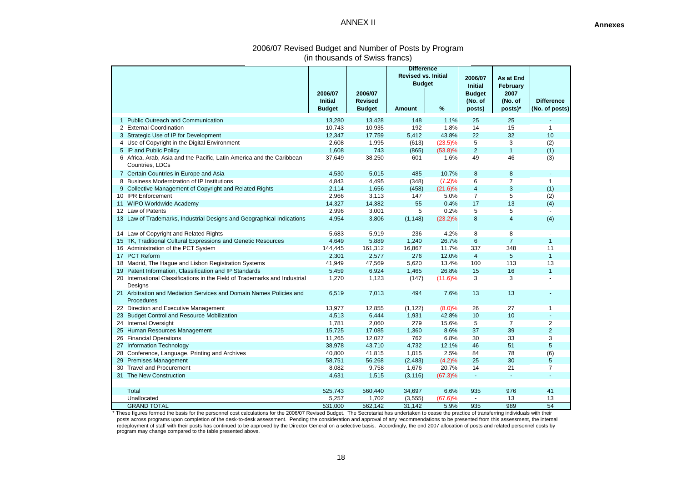#### ANNEX II

### 2006/07 Revised Budget and Number of Posts by Program (in thousands of Swiss francs)

|                                                                                       |                  |                | <b>Difference</b>          |            |                |                 |                          |  |
|---------------------------------------------------------------------------------------|------------------|----------------|----------------------------|------------|----------------|-----------------|--------------------------|--|
|                                                                                       |                  |                | <b>Revised vs. Initial</b> |            | 2006/07        | As at End       |                          |  |
|                                                                                       |                  |                | <b>Budget</b>              |            | <b>Initial</b> | <b>February</b> |                          |  |
|                                                                                       | 2006/07          | 2006/07        |                            |            | <b>Budget</b>  | 2007            |                          |  |
|                                                                                       | <b>Initial</b>   | <b>Revised</b> |                            |            | (No. of        | (No. of         | <b>Difference</b>        |  |
|                                                                                       | <b>Budget</b>    | <b>Budget</b>  | <b>Amount</b>              | %          | posts)         | posts)*         | (No. of posts)           |  |
| 1 Public Outreach and Communication                                                   | 13,280           | 13,428         | 148                        | 1.1%       | 25             | 25              |                          |  |
| 2 External Coordination                                                               | 10.743           | 10.935         | 192                        | 1.8%       | 14             | 15              | $\mathbf{1}$             |  |
| 3 Strategic Use of IP for Development                                                 | 12,347           | 17,759         | 5,412                      | 43.8%      | 22             | 32              | 10                       |  |
| 4 Use of Copyright in the Digital Environment                                         | 2,608            | 1,995          | (613)                      | $(23.5)\%$ | 5              | 3               | (2)                      |  |
| 5 IP and Public Policy                                                                | 1,608            | 743            | (865)                      | $(53.8)\%$ | $\overline{2}$ | $\mathbf{1}$    | (1)                      |  |
| 6 Africa, Arab, Asia and the Pacific, Latin America and the Caribbean                 | 37,649           | 38,250         | 601                        | 1.6%       | 49             | 46              | (3)                      |  |
| Countries, LDCs                                                                       |                  |                |                            |            |                |                 |                          |  |
| 7 Certain Countries in Europe and Asia                                                | 4,530            | 5,015          | 485                        | 10.7%      | 8              | 8               | $\overline{a}$           |  |
| 8 Business Modernization of IP Institutions                                           | 4,843            | 4,495          | (348)                      | (7.2)%     | 6              | $\overline{7}$  | $\mathbf{1}$             |  |
| Collective Management of Copyright and Related Rights<br>9                            | 2,114            | 1,656          | (458)                      | $(21.6)\%$ | $\overline{4}$ | 3               | (1)                      |  |
| 10 IPR Enforcement                                                                    | 2,966            | 3,113          | 147                        | 5.0%       | $\overline{7}$ | 5               | (2)                      |  |
| 11 WIPO Worldwide Academy                                                             | 14,327           | 14,382         | 55                         | 0.4%       | 17             | 13              | (4)                      |  |
| 12 Law of Patents                                                                     | 2,996            | 3,001          | 5                          | 0.2%       | 5              | 5               | $\overline{\phantom{a}}$ |  |
| 13 Law of Trademarks, Industrial Designs and Geographical Indications                 | 4,954            | 3,806          | (1, 148)                   | $(23.2)\%$ | 8              | $\overline{4}$  | (4)                      |  |
| 14 Law of Copyright and Related Rights                                                | 5,683            | 5,919          | 236                        | 4.2%       | 8              | 8               | $\blacksquare$           |  |
| 15 TK, Traditional Cultural Expressions and Genetic Resources                         | 4,649            | 5,889          | 1,240                      | 26.7%      | $6\phantom{1}$ | $\overline{7}$  | $\mathbf{1}$             |  |
| 16 Administration of the PCT System                                                   | 144,445          | 161,312        | 16,867                     | 11.7%      | 337            | 348             | 11                       |  |
| 17 PCT Reform                                                                         | 2,301            | 2,577          | 276                        | 12.0%      | $\overline{4}$ | 5               | $\mathbf{1}$             |  |
| 18 Madrid, The Hague and Lisbon Registration Systems                                  | 41,949           | 47,569         | 5,620                      | 13.4%      | 100            | 113             | 13                       |  |
| 19 Patent Information, Classification and IP Standards                                | 5,459            | 6,924          | 1,465                      | 26.8%      | 15             | 16              | $\mathbf{1}$             |  |
| 20 International Classifications in the Field of Trademarks and Industrial<br>Designs | 1,270            | 1,123          | (147)                      | (11.6)%    | 3              | 3               | $\overline{a}$           |  |
| 21 Arbitration and Mediation Services and Domain Names Policies and<br>Procedures     | 6,519            | 7,013          | 494                        | 7.6%       | 13             | 13              | $\blacksquare$           |  |
| 22 Direction and Executive Management                                                 | 13,977           | 12,855         | (1, 122)                   | (8.0)%     | 26             | 27              | 1                        |  |
| 23 Budget Control and Resource Mobilization                                           | 4,513            | 6,444          | 1,931                      | 42.8%      | 10             | 10              | $\overline{a}$           |  |
| 24 Internal Oversight                                                                 | 1,781            | 2,060          | 279                        | 15.6%      | 5              | $\overline{7}$  | $\overline{2}$           |  |
| 25 Human Resources Management                                                         | 15,725           | 17,085         | 1,360                      | 8.6%       | 37             | 39              | $\overline{2}$           |  |
| 26 Financial Operations                                                               | 11,265           | 12,027         | 762                        | 6.8%       | 30             | 33              | 3                        |  |
|                                                                                       |                  |                |                            |            |                |                 | 5                        |  |
| 27 Information Technology                                                             | 38,978<br>40,800 | 43,710         | 4,732<br>1,015             | 12.1%      | 46             | 51              |                          |  |
| 28 Conference, Language, Printing and Archives                                        |                  | 41,815         |                            | 2.5%       | 84             | 78              | (6)                      |  |
| 29 Premises Management                                                                | 58,751           | 56,268         | (2, 483)                   | (4.2)%     | 25             | 30              | 5                        |  |
| 30 Travel and Procurement                                                             | 8,082            | 9,758          | 1,676                      | 20.7%      | 14             | 21              | $\overline{7}$           |  |
| 31 The New Construction                                                               | 4,631            | 1,515          | (3, 116)                   | (67.3)%    | ÷.             | $\blacksquare$  | ÷.                       |  |
| Total                                                                                 | 525,743          | 560,440        | 34,697                     | 6.6%       | 935            | 976             | 41                       |  |
| Unallocated                                                                           | 5,257            | 1,702          | (3, 555)                   | (67.6)%    | $\blacksquare$ | 13              | 13                       |  |
| <b>GRAND TOTAL</b>                                                                    | 531,000          | 562,142        | 31,142                     | 5.9%       | 935            | 989             | 54                       |  |

 \* These figures formed the basis for the personnel cost calculations for the 2006/07 Revised Budget. The Secretariat has undertaken to cease the practice of transferring individuals with their posts across programs upon completion of the desk-to-desk assessment. Pending the consideration and approval of any recommendations to be presented from this assessment, the internal redeployment of staff with their posts has continued to be approved by the Director General on a selective basis. Accordingly, the end 2007 allocation of posts and related personnel costs by program may change compared to the table presented above.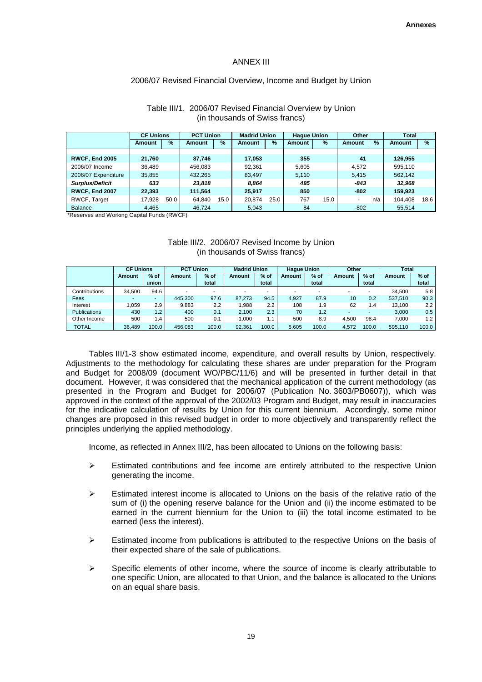#### ANNEX III

#### 2006/07 Revised Financial Overview, Income and Budget by Union

|                        | <b>CF Unions</b> |      | <b>PCT Union</b> |      | <b>Madrid Union</b> |      | <b>Hague Union</b> |      | Other                   |     | Total   |      |  |
|------------------------|------------------|------|------------------|------|---------------------|------|--------------------|------|-------------------------|-----|---------|------|--|
|                        | Amount           | %    | Amount           | $\%$ | Amount              | %    | Amount             | %    | $\frac{9}{6}$<br>Amount |     | Amount  | %    |  |
|                        |                  |      |                  |      |                     |      |                    |      |                         |     |         |      |  |
| <b>RWCF, End 2005</b>  | 21.760           |      | 87.746           |      | 17.053              |      | 355                |      | 41                      |     | 126.955 |      |  |
| 2006/07 Income         | 36.489           |      | 456.083          |      | 92.361              |      | 5.605              |      | 4.572                   |     | 595.110 |      |  |
| 2006/07 Expenditure    | 35,855           |      | 432.265          |      | 83.497              |      | 5.110              |      | 5.415                   |     | 562.142 |      |  |
| <b>Surplus/Deficit</b> | 633              |      | 23.818           |      | 8.864               |      | 495                |      | $-843$                  |     | 32.968  |      |  |
| <b>RWCF, End 2007</b>  | 22.393           |      | 111.564          |      | 25.917              |      | 850                |      | $-802$                  |     | 159.923 |      |  |
| RWCF, Target           | 17.928           | 50.0 | 64,840           | 15.0 | 20.874              | 25.0 | 767                | 15.0 |                         | n/a | 104.408 | 18.6 |  |
| <b>Balance</b>         | 4,465            |      | 46.724           |      | 5.043               |      | 84                 |      | $-802$                  |     | 55.514  |      |  |

## Table III/1. 2006/07 Revised Financial Overview by Union (in thousands of Swiss francs)

\*Reserves and Working Capital Funds (RWCF)

### Table III/2. 2006/07 Revised Income by Union (in thousands of Swiss francs)

|                     | <b>CF Unions</b> |        | <b>PCT Union</b> |               | <b>Madrid Union</b> |       | <b>Hague Union</b> |                  | Other  |        | Total   |               |  |
|---------------------|------------------|--------|------------------|---------------|---------------------|-------|--------------------|------------------|--------|--------|---------|---------------|--|
|                     | Amount           | $%$ of | Amount           | $%$ of        | Amount              | % of  | Amount             | $%$ of           | Amount | $%$ of | Amount  | $%$ of        |  |
|                     |                  | union  | total            |               |                     | total |                    | total            |        | total  |         | total         |  |
| Contributions       | 34.500           | 94.6   | ۰                |               |                     |       |                    | <b>100</b>       |        |        | 34.500  | 5.8           |  |
| Fees                |                  |        | 445.300          | 97.6          | 87.273              | 94.5  | 4.927              | 87.9             | 10     | 0.2    | 537.510 | 90.3          |  |
| Interest            | .059             | 2.9    | 9.883            | $2.2^{\circ}$ | .988                | 2.2   | 108                | 1.9 <sub>1</sub> | 62     | 1.4    | 13.100  | $2.2^{\circ}$ |  |
| <b>Publications</b> | 430              | 1.2    | 400              | 0.1           | 2.100               | 2.3   | 70                 | 1.2              |        |        | 3.000   | 0.5           |  |
| Other Income        | 500              | 1.4    | 500              | 0.1           | 1.000               | 1.1   | 500                | 8.9              | 4.500  | 98.4   | 7.000   | 1.2           |  |
| <b>TOTAL</b>        | 36.489           | 100.0  | 456.083          | 100.0         | 92.361              | 100.0 | 5.605              | 100.0            | 4.572  | 100.0  | 595.110 | 100.0         |  |

 Tables III/1-3 show estimated income, expenditure, and overall results by Union, respectively. Adjustments to the methodology for calculating these shares are under preparation for the Program and Budget for 2008/09 (document WO/PBC/11/6) and will be presented in further detail in that document. However, it was considered that the mechanical application of the current methodology (as presented in the Program and Budget for 2006/07 (Publication No. 3603/PB0607)), which was approved in the context of the approval of the 2002/03 Program and Budget, may result in inaccuracies for the indicative calculation of results by Union for this current biennium. Accordingly, some minor changes are proposed in this revised budget in order to more objectively and transparently reflect the principles underlying the applied methodology.

Income, as reflected in Annex III/2, has been allocated to Unions on the following basis:

- $\triangleright$  Estimated contributions and fee income are entirely attributed to the respective Union generating the income.
- $\geq$  Estimated interest income is allocated to Unions on the basis of the relative ratio of the sum of (i) the opening reserve balance for the Union and (ii) the income estimated to be earned in the current biennium for the Union to (iii) the total income estimated to be earned (less the interest).
- $\triangleright$  Estimated income from publications is attributed to the respective Unions on the basis of their expected share of the sale of publications.
- $\triangleright$  Specific elements of other income, where the source of income is clearly attributable to one specific Union, are allocated to that Union, and the balance is allocated to the Unions on an equal share basis.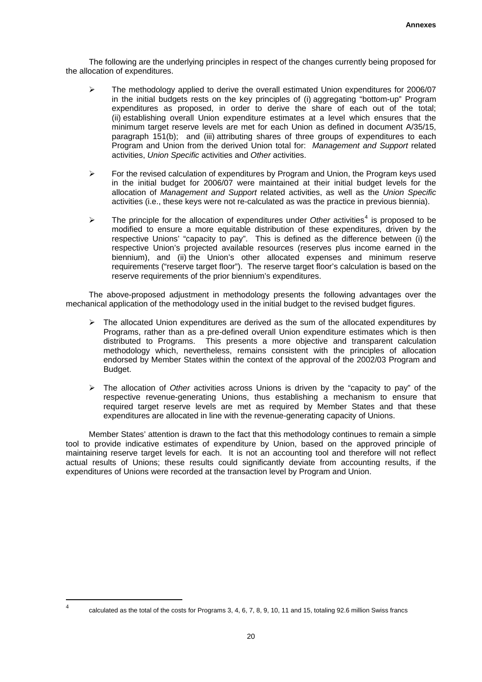<span id="page-19-0"></span> The following are the underlying principles in respect of the changes currently being proposed for the allocation of expenditures.

- ¾ The methodology applied to derive the overall estimated Union expenditures for 2006/07 in the initial budgets rests on the key principles of (i) aggregating "bottom-up" Program expenditures as proposed, in order to derive the share of each out of the total; (ii) establishing overall Union expenditure estimates at a level which ensures that the minimum target reserve levels are met for each Union as defined in document A/35/15, paragraph 151(b); and (iii) attributing shares of three groups of expenditures to each Program and Union from the derived Union total for: *Management and Support* related activities, *Union Specific* activities and *Other* activities.
- $\triangleright$  For the revised calculation of expenditures by Program and Union, the Program keys used in the initial budget for 2006/07 were maintained at their initial budget levels for the allocation of *Management and Support* related activities, as well as the *Union Specific* activities (i.e., these keys were not re-calculated as was the practice in previous biennia).
- $\triangleright$  The principle for the allocation of expenditures under Other activities<sup>[4](#page-19-0)</sup> is proposed to be modified to ensure a more equitable distribution of these expenditures, driven by the respective Unions' "capacity to pay". This is defined as the difference between (i) the respective Union's projected available resources (reserves plus income earned in the biennium), and (ii) the Union's other allocated expenses and minimum reserve requirements ("reserve target floor"). The reserve target floor's calculation is based on the reserve requirements of the prior biennium's expenditures.

 The above-proposed adjustment in methodology presents the following advantages over the mechanical application of the methodology used in the initial budget to the revised budget figures.

- $\triangleright$  The allocated Union expenditures are derived as the sum of the allocated expenditures by Programs, rather than as a pre-defined overall Union expenditure estimates which is then distributed to Programs. This presents a more objective and transparent calculation This presents a more objective and transparent calculation methodology which, nevertheless, remains consistent with the principles of allocation endorsed by Member States within the context of the approval of the 2002/03 Program and Budget.
- ¾ The allocation of *Other* activities across Unions is driven by the "capacity to pay" of the respective revenue-generating Unions, thus establishing a mechanism to ensure that required target reserve levels are met as required by Member States and that these expenditures are allocated in line with the revenue-generating capacity of Unions.

 Member States' attention is drawn to the fact that this methodology continues to remain a simple tool to provide indicative estimates of expenditure by Union, based on the approved principle of maintaining reserve target levels for each. It is not an accounting tool and therefore will not reflect actual results of Unions; these results could significantly deviate from accounting results, if the expenditures of Unions were recorded at the transaction level by Program and Union.

 $\overline{A}$ 

calculated as the total of the costs for Programs 3, 4, 6, 7, 8, 9, 10, 11 and 15, totaling 92.6 million Swiss francs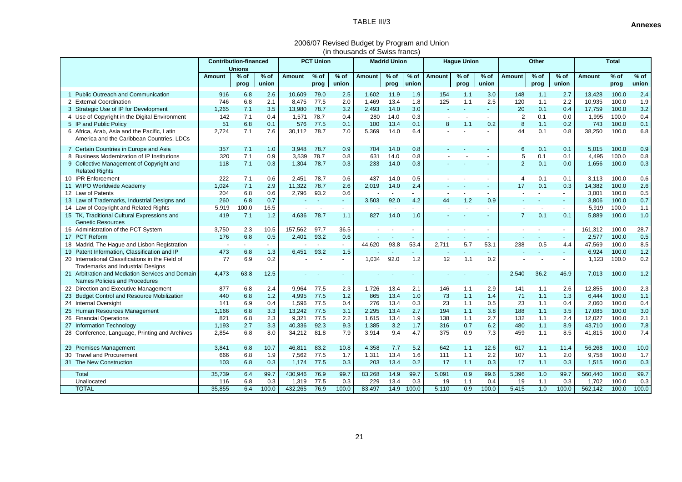#### TABLE III/3

#### 2006/07 Revised Budget by Program and Union (in thousands of Swiss francs)

|                                                      | <b>Contribution-financed</b><br><b>Unions</b> |            | <b>PCT Union</b> |                  |              | <b>Madrid Union</b>      |        |                |                | <b>Hague Union</b>       |                |                          | Other          |               | Total                    |                  |                |             |
|------------------------------------------------------|-----------------------------------------------|------------|------------------|------------------|--------------|--------------------------|--------|----------------|----------------|--------------------------|----------------|--------------------------|----------------|---------------|--------------------------|------------------|----------------|-------------|
|                                                      |                                               |            |                  |                  |              |                          |        |                |                |                          |                |                          |                |               |                          |                  |                |             |
|                                                      | Amount                                        | $%$ of     | $%$ of           | Amount           | $%$ of       | % of                     | Amount | $%$ of         | % of           | Amount                   | $%$ of         | % of                     | <b>Amount</b>  | % of          | $%$ of                   | Amount           | % of           | $%$ of      |
|                                                      |                                               | prog       | union            |                  | prog         | union                    |        | prog           | union          |                          | prog           | union                    |                | prog          | union                    |                  | prog           | union       |
| 1 Public Outreach and Communication                  | 916                                           | 6.8        | 2.6              | 10,609           | 79.0         | 2.5                      | 1,602  | 11.9           | 1.9            | 154                      | 1.1            | 3.0                      | 148            | 1.1           | 2.7                      | 13,428           | 100.0          | 2.4         |
| 2 External Coordination                              | 746                                           | 6.8        | 2.1              | 8.475            | 77.5         | 2.0                      | 1.469  | 13.4           | 1.8            | 125                      | 1.1            | 2.5                      | 120            | 1.1           | 2.2                      | 10,935           | 100.0          | 1.9         |
| 3 Strategic Use of IP for Development                | 1,265                                         | 7.1        | 3.5              | 13,980           | 78.7         | 3.2                      | 2.493  | 14.0           | 3.0            |                          | ÷.             | $\omega$ .               | 20             | 0.1           | 0.4                      | 17,759           | 100.0          | 3.2         |
| 4 Use of Copyright in the Digital Environment        | 142                                           | 7.1        | 0.4              | 1,571            | 78.7         | 0.4                      | 280    | 14.0           | 0.3            | $\overline{\phantom{a}}$ | $\blacksquare$ | $\sim$                   | $\overline{2}$ | 0.1           | 0.0                      | 1,995            | 100.0          | 0.4         |
| 5 IP and Public Policy                               | 51                                            | 6.8        | 0.1              | 576              | 77.5         | 0.1                      | 100    | 13.4           | 0.1            | 8                        | 1.1            | 0.2                      | 8              | 1.1           | 0.2                      | 743              | 100.0          | 0.1         |
| 6 Africa, Arab, Asia and the Pacific, Latin          | 2,724                                         | 7.1        | 7.6              | 30.112           | 78.7         | 7.0                      | 5,369  | 14.0           | 6.4            |                          |                | ٠                        | 44             | 0.1           | 0.8                      | 38,250           | 100.0          | 6.8         |
| America and the Caribbean Countries, LDCs            |                                               |            |                  |                  |              |                          |        |                |                |                          |                |                          |                |               |                          |                  |                |             |
| 7 Certain Countries in Europe and Asia               | 357                                           | 7.1        | 1.0              | 3.948            | 78.7         | 0.9                      | 704    | 14.0           | 0.8            |                          |                |                          | 6              | 0.1           | 0.1                      | 5.015            | 100.0          | 0.9         |
| 8 Business Modernization of IP Institutions          | 320                                           | 7.1        | 0.9              | 3,539            | 78.7         | 0.8                      | 631    | 14.0           | 0.8            |                          |                | $\blacksquare$           | 5              | 0.1           | 0.1                      | 4,495            | 100.0          | 0.8         |
| 9 Collective Management of Copyright and             | 118                                           | 7.1        | 0.3              | 1,304            | 78.7         | 0.3                      | 233    | 14.0           | 0.3            |                          |                | $\blacksquare$           | $\overline{2}$ | 0.1           | 0.0                      | 1,656            | 100.0          | 0.3         |
| <b>Related Rights</b>                                |                                               |            |                  |                  |              |                          |        |                |                |                          |                |                          |                |               |                          |                  |                |             |
| 10 IPR Enforcement                                   | 222                                           | 7.1        | 0.6              | 2,451            | 78.7         | 0.6                      | 437    | 14.0           | 0.5            |                          |                | $\overline{a}$           | 4              | 0.1           | 0.1                      | 3,113            | 100.0          | 0.6         |
| 11 WIPO Worldwide Academy                            | 1,024                                         | 7.1        | 2.9              | 11,322           | 78.7         | 2.6                      | 2,019  | 14.0           | 2.4            |                          |                | $\sim$                   | 17             | 0.1           | 0.3                      | 14,382           | 100.0          | 2.6         |
| 12 Law of Patents                                    | 204                                           | 6.8        | 0.6              | 2,796            | 93.2         | 0.6                      |        | $\overline{a}$ | $\blacksquare$ |                          | $\blacksquare$ | $\sim$                   | $\overline{a}$ | $\sim$        | $\sim$                   | 3,001            | 100.0          | 0.5         |
| 13 Law of Trademarks, Industrial Designs and         | 260                                           | 6.8        | 0.7              |                  | $\omega$     | $\omega$                 | 3,503  | 92.0           | 4.2            | 44                       | 1.2            | 0.9                      |                |               | $\sim$                   | 3,806            | 100.0          | 0.7         |
| 14 Law of Copyright and Related Rights               | 5,919                                         | 100.0      | 16.5             |                  |              | $\overline{\phantom{a}}$ |        |                |                |                          |                | $\blacksquare$           |                |               | $\sim$                   | 5,919            | 100.0          | 1.1         |
| 15 TK, Traditional Cultural Expressions and          | 419                                           | 7.1        | 1.2              | 4.636            | 78.7         | 1.1                      | 827    | 14.0           | 1.0            |                          |                |                          | 7              | 0.1           | 0.1                      | 5,889            | 100.0          | 1.0         |
| <b>Genetic Resources</b>                             |                                               |            |                  |                  |              |                          |        |                |                |                          |                |                          |                |               |                          |                  |                |             |
| 16 Administration of the PCT System<br>17 PCT Reform | 3,750<br>176                                  | 2.3<br>6.8 | 10.5<br>0.5      | 157,562<br>2,401 | 97.7<br>93.2 | 36.5<br>0.6              |        |                | $\sim$         |                          |                | $\blacksquare$<br>$\sim$ |                |               | $\blacksquare$<br>$\sim$ | 161,312<br>2,577 | 100.0<br>100.0 | 28.7<br>0.5 |
| 18 Madrid, The Hague and Lisbon Registration         |                                               |            | $\sim$           |                  |              | $\overline{a}$           |        | 93.8           |                |                          |                | 53.1                     |                |               |                          | 47,569           | 100.0          | 8.5         |
| 19 Patent Information, Classification and IP         | 473                                           | 6.8        | 1.3              | 6.451            | 93.2         | 1.5                      | 44,620 |                | 53.4<br>$\sim$ | 2,711                    | 5.7<br>÷.      | $\sim$                   | 238            | 0.5<br>$\sim$ | 4.4<br>$\sim$            | 6,924            | 100.0          | $1.2$       |
| 20 International Classifications in the Field of     | 77                                            | 6.9        | 0.2              |                  |              | $\sim$                   | 1.034  | 92.0           | 1.2            | 12                       | 1.1            | 0.2                      |                |               | $\overline{\phantom{a}}$ | 1,123            | 100.0          | 0.2         |
| <b>Trademarks and Industrial Designs</b>             |                                               |            |                  |                  |              |                          |        |                |                |                          |                |                          |                |               |                          |                  |                |             |
| 21 Arbitration and Mediation Services and Domain     | 4,473                                         | 63.8       | 12.5             |                  |              |                          |        |                |                |                          |                | ÷.                       | 2,540          | 36.2          | 46.9                     | 7,013            | 100.0          | 1.2         |
| Names Policies and Procedures                        |                                               |            |                  |                  |              |                          |        |                |                |                          |                |                          |                |               |                          |                  |                |             |
| 22 Direction and Executive Management                | 877                                           | 6.8        | 2.4              | 9,964            | 77.5         | 2.3                      | 1,726  | 13.4           | 2.1            | 146                      | 1.1            | 2.9                      | 141            | 1.1           | 2.6                      | 12,855           | 100.0          | 2.3         |
| 23 Budget Control and Resource Mobilization          | 440                                           | 6.8        | $1.2$            | 4,995            | 77.5         | 1.2                      | 865    | 13.4           | 1.0            | 73                       | 1.1            | 1.4                      | 71             | 1.1           | 1.3                      | 6,444            | 100.0          | 1.1         |
| 24 Internal Oversight                                | 141                                           | 6.9        | 0.4              | 1,596            | 77.5         | 0.4                      | 276    | 13.4           | 0.3            | 23                       | 1.1            | 0.5                      | 23             | 1.1           | 0.4                      | 2,060            | 100.0          | 0.4         |
| 25 Human Resources Management                        | 1,166                                         | 6.8        | 3.3              | 13,242           | 77.5         | 3.1                      | 2,295  | 13.4           | 2.7            | 194                      | 1.1            | 3.8                      | 188            | 1.1           | 3.5                      | 17,085           | 100.0          | 3.0         |
| 26 Financial Operations                              | 821                                           | 6.8        | 2.3              | 9.321            | 77.5         | 2.2                      | 1.615  | 13.4           | 1.9            | 138                      | 1.1            | 2.7                      | 132            | 1.1           | 2.4                      | 12,027           | 100.0          | 2.1         |
| 27 Information Technology                            | 1,193                                         | 2.7        | 3.3              | 40.336           | 92.3         | 9.3                      | 1,385  | 3.2            | 1.7            | 316                      | 0.7            | 6.2                      | 480            | 1.1           | 8.9                      | 43.710           | 100.0          | 7.8         |
| 28 Conference, Language, Printing and Archives       | 2,854                                         | 6.8        | 8.0              | 34,212           | 81.8         | 7.9                      | 3,914  | 9.4            | 4.7            | 375                      | 0.9            | 7.3                      | 459            | 1.1           | 8.5                      | 41,815           | 100.0          | 7.4         |
|                                                      |                                               |            |                  |                  |              |                          |        |                |                |                          |                |                          |                |               |                          |                  |                |             |
| 29 Premises Management                               | 3,841                                         | 6.8        | 10.7             | 46.811           | 83.2         | 10.8                     | 4,358  | 7.7            | 5.2            | 642                      | 1.1            | 12.6                     | 617            | 1.1           | 11.4                     | 56,268           | 100.0          | 10.0        |
| 30 Travel and Procurement                            | 666                                           | 6.8        | 1.9              | 7,562            | 77.5         | 1.7                      | 1,311  | 13.4           | 1.6            | 111                      | 1.1            | 2.2                      | 107            | 1.1           | 2.0                      | 9,758            | 100.0          | 1.7         |
| 31 The New Construction                              | 103                                           | 6.8        | 0.3              | 1,174            | 77.5         | 0.3                      | 203    | 13.4           | 0.2            | 17                       | 1.1            | 0.3                      | 17             | 1.1           | 0.3                      | 1,515            | 100.0          | 0.3         |
| Total                                                | 35,739                                        | 6.4        | 99.7             | 430,946          | 76.9         | 99.7                     | 83,268 | 14.9           | 99.7           | 5,091                    | 0.9            | 99.6                     | 5,396          | 1.0           | 99.7                     | 560,440          | 100.0          | 99.7        |
| Unallocated                                          | 116                                           | 6.8        | 0.3              | 1,319            | 77.5         | 0.3                      | 229    | 13.4           | 0.3            | 19                       | 1.1            | 0.4                      | 19             | 1.1           | 0.3                      | 1,702            | 100.0          | 0.3         |
| <b>TOTAL</b>                                         | 35.855                                        | 6.4        | 100.0            | 432.265          | 76.9         | 100.0                    | 83.497 | 14.9           | 100.0          | 5.110                    | 0.9            | 100.0                    | 5.415          | 1.0           | 100.0                    | 562.142          | 100.0          | 100.0       |